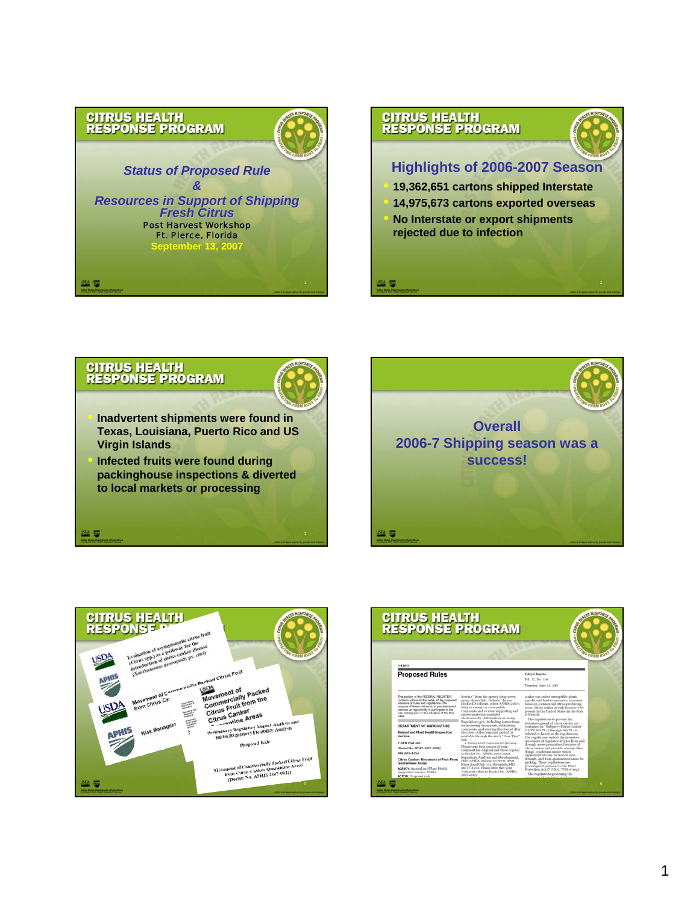





짝 좋



백주

• **Inadvertent shipments were found in Texas, Louisiana, Puerto Rico and US Virgin Islands**

• **Infected fruits were found during packinghouse inspections & diverted to local markets or processing**





| conformation | <b>CITRUS HEALTH<br/>RESPONSE PROGRAM</b>                                                                                                                                                                                                                                                     |                                                                                                                                                                                                                                                                                                                                                                           | ŝ                                                                                                                                                                                                                                                                                                                                                                                                              | <b><i>G FROM ROO</i></b> |
|--------------|-----------------------------------------------------------------------------------------------------------------------------------------------------------------------------------------------------------------------------------------------------------------------------------------------|---------------------------------------------------------------------------------------------------------------------------------------------------------------------------------------------------------------------------------------------------------------------------------------------------------------------------------------------------------------------------|----------------------------------------------------------------------------------------------------------------------------------------------------------------------------------------------------------------------------------------------------------------------------------------------------------------------------------------------------------------------------------------------------------------|--------------------------|
|              | 34180<br><b>Proposed Rules</b>                                                                                                                                                                                                                                                                |                                                                                                                                                                                                                                                                                                                                                                           | Federal Register<br>Vol. 72, No. 110<br>Thursday, June 21, 2007                                                                                                                                                                                                                                                                                                                                                |                          |
|              | This service of the FEDERAL REQUITER<br>contains notices to the public of the proposed<br>issuance of rules and regulations. The<br>purpose of these notices is to give interested<br>persons an opportunity to participate in the<br>rule making prior to the adoption of the final<br>n Ave | Service" from the agency drop-down.<br>menu, then click "Submit," In the<br>Docket ID column, select APHIS-2007-<br>0022 to submit or view public<br>comments and to view supporting and<br>related materials available<br>electronically. Information on using                                                                                                           | canker can infect susceptible plants<br>rapidly and lead to extensive economic<br>losses in commercial citrus-producing<br>sreas. Citrus canker is only known to be<br>present in the United States in the State<br>of Florida.<br>The regulations to prevent the                                                                                                                                              |                          |
|              | DEPARTMENT OF AGRICULTURE<br>Animal and Plant Health Inspection<br>Service<br>7 CFR Part 301<br>[Docket No. APHIS-2007-0022]<br>RIN 0579-AC54                                                                                                                                                 | Regulations.gov, including instructions<br>for accessing documents, submitting<br>comments, and viewing the docket after<br>the close of the comment period, is<br>available through the site's "User Tips"<br>link.<br>· Postal Mail/Commercial Delivery:<br>Please send four copies of your<br>comment (an original and three copies)<br>to Docket No. APHIS-2007-0022. | interstate spread of citrus canker are<br>contained in "Subpart-Citrus Canker"<br>(7 CFR 301.75-1 through 301.75-14.<br>referred to below as the regulations).<br>The regulations restrict the interstate<br>movement of regulated articles from and<br>through areas quarantined because of<br>citrus canker and provide, among other<br>things, conditions under which<br>regulated fruit may be moved into, |                          |
|              | Citrus Canker: Movement of Fruit From<br>Quarantined Areas<br><b>AGENCY: Animal and Plant Health</b><br>Inspection Service, USDA.<br>ACTION: Proposed rule.                                                                                                                                   | Regulatory Analysis and Development,<br>PPD, APHIS, Station 3A-63.8, 4700<br>River Road Unit 118, Riverdale, MD<br>20737-1238. Please state that your<br>comment refers to Docket No. APHIS-<br>2007-0022                                                                                                                                                                 | through, and from quarantined areas for<br>packing. These regulations are<br>promulgated pursuant to the Plant<br>Protection Act (7 U.S.C. 7701 et seq.).<br>The regulations governing the<br>recoveraged of requisited articles were                                                                                                                                                                          |                          |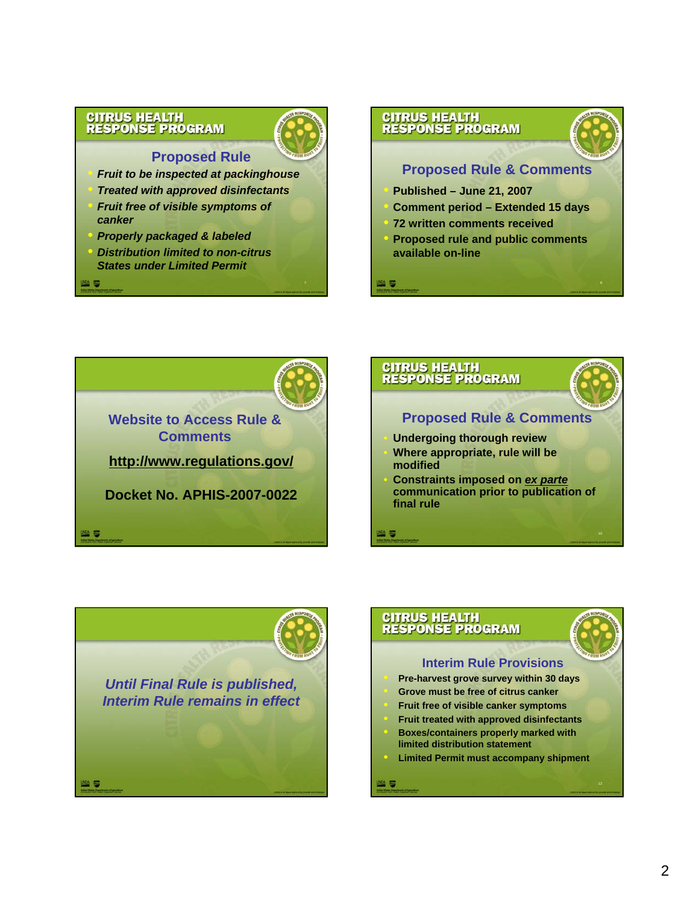

# **Proposed Rule**

• *Fruit to be inspected at packinghouse* • *Treated with approved disinfectants* • *Fruit free of visible symptoms of canker*

• *Properly packaged & labeled*

25

• *Distribution limited to non-citrus States under Limited Permit*



• **Proposed rule and public comments available on-line**

- 5

**en 5** 







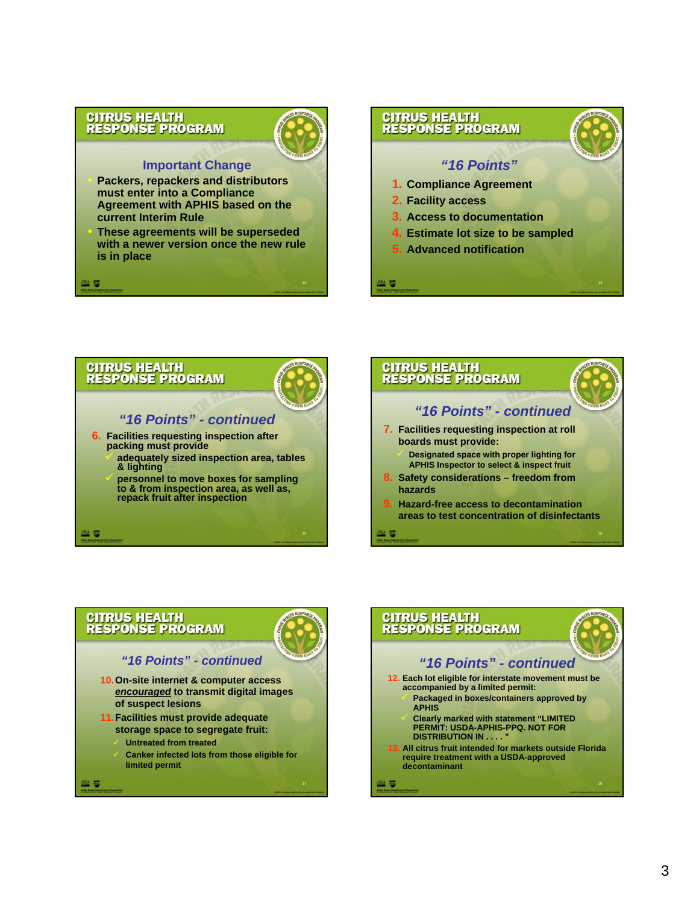

### **Important Change**

• **Packers, repackers and distributors must enter into a Compliance Agreement with APHIS based on the current Interim Rule**

• **These agreements will be superseded with a newer version once the new rule is in place**









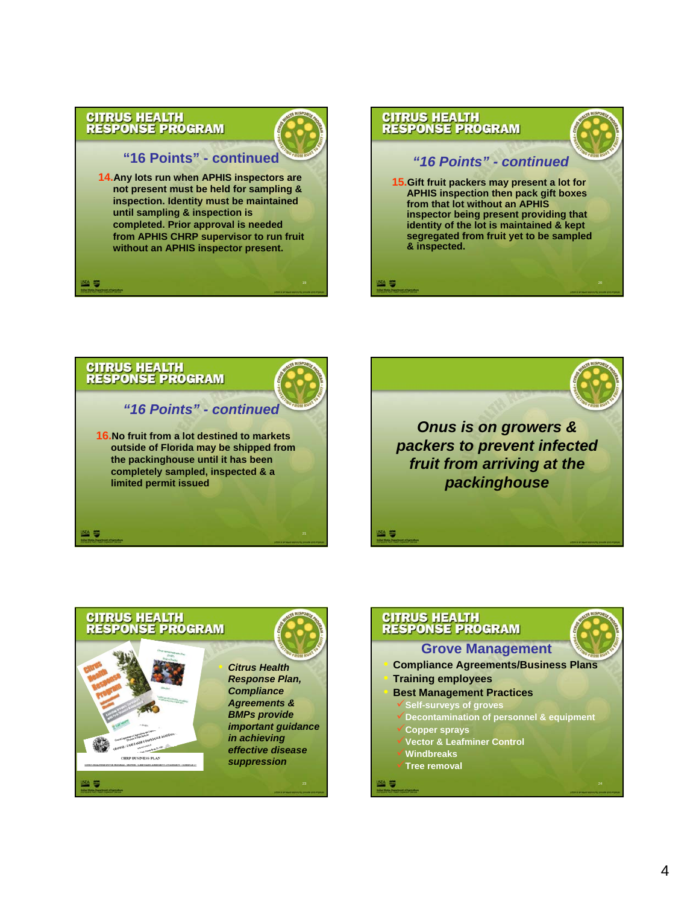m ş

## **"16 Points" - continued**

**14.Any lots run when APHIS inspectors are not present must be held for sampling & inspection. Identity must be maintained until sampling & inspection is completed. Prior approval is needed from APHIS CHRP supervisor to run fruit without an APHIS inspector present.**









| <b>CITRUS HEALTH<br/>RESPONSE PROGRAM</b>   |
|---------------------------------------------|
| <b>Grove Management</b>                     |
| <b>Compliance Agreements/Business Plans</b> |
| <b>Training employees</b>                   |
| <b>Best Management Practices</b>            |
| Self-surveys of groves                      |
| Decontamination of personnel & equipment    |
| <b>Copper sprays</b>                        |
| <b>Vector &amp; Leafminer Control</b>       |
| <b>Windbreaks</b>                           |
| <b>Tree removal</b>                         |
| 24                                          |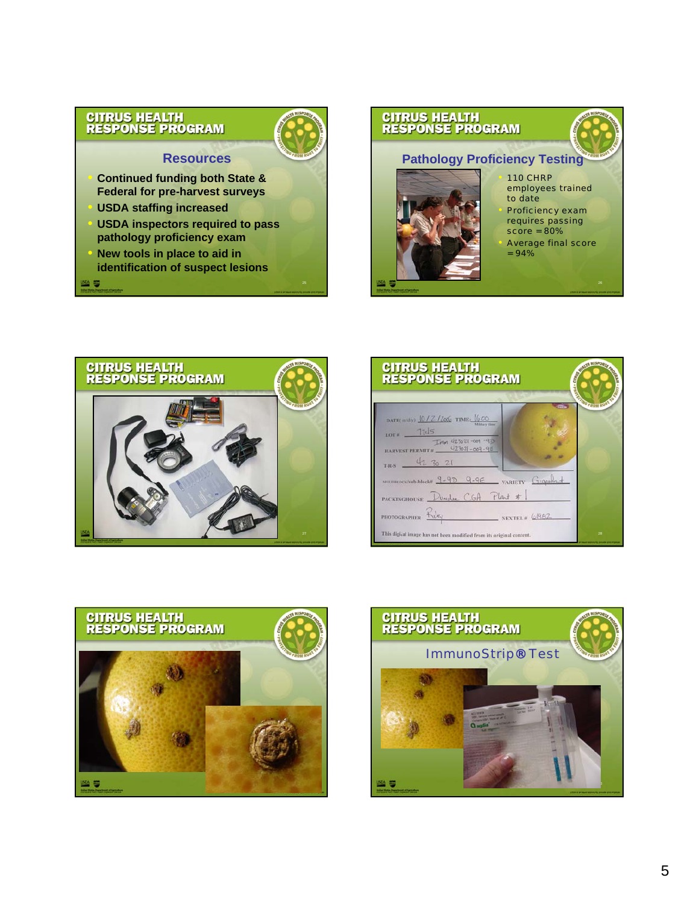# **Resources**

• **Continued funding both State & Federal for pre-harvest surveys**

• **USDA staffing increased** 

警事

- **USDA inspectors required to pass pathology proficiency exam**
- **New tools in place to aid in identification of suspect lesions**



 $= 94\%$ 







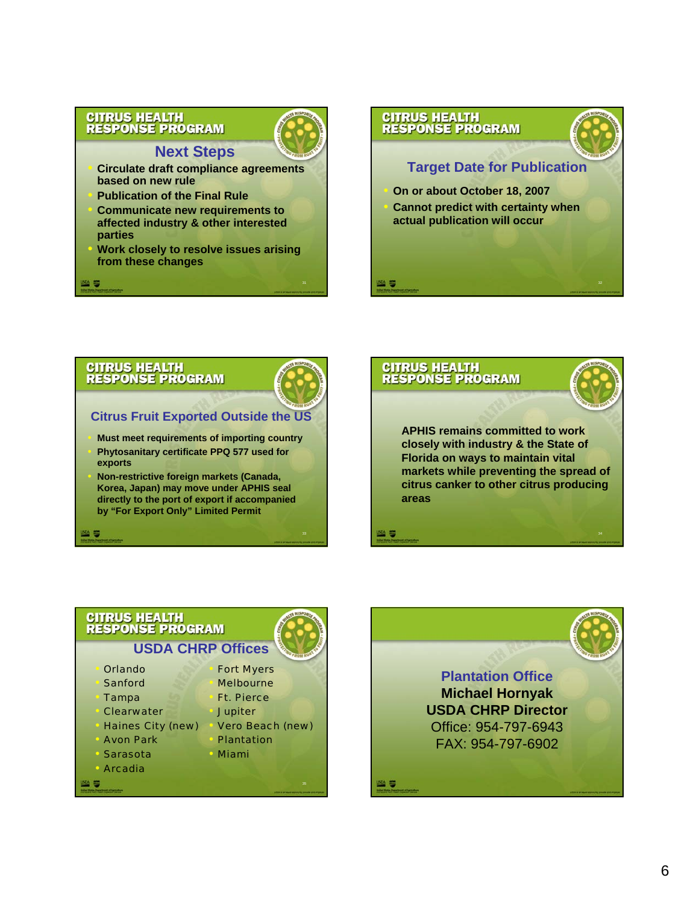# **Next Steps**

- **Circulate draft compliance agreements based on new rule**
- **Publication of the Final Rule**
- **Communicate new requirements to affected industry & other interested parties**
- **Work closely to resolve issues arising from these changes**



# **CITRUS HEALTH<br>RESPONSE PROGRAM**



# **Citrus Fruit Exported Outside the US**

- **Must meet requirements of importing country** • **Phytosanitary certificate PPQ 577 used for exports**
- **Non-restrictive foreign markets (Canada, Korea, Japan) may move under APHIS seal directly to the port of export if accompanied by "For Export Only" Limited Permit**



## **CITRUS HEALTH RESPONSE PROGRAM**

# **USDA CHRP Offices**

- Orlando
- **Sanford**
- Tampa
- **Clearwater**
- Haines City (new) • Vero Beach (new)
	- **Avon Park**
- **Sarasota**
- 





sa ș



- 
- **Plantation** 
	- Miami
- **Arcadia**





**Plantation Office Michael Hornyak USDA CHRP Director** Office: 954-797-6943 FAX: 954-797-6902